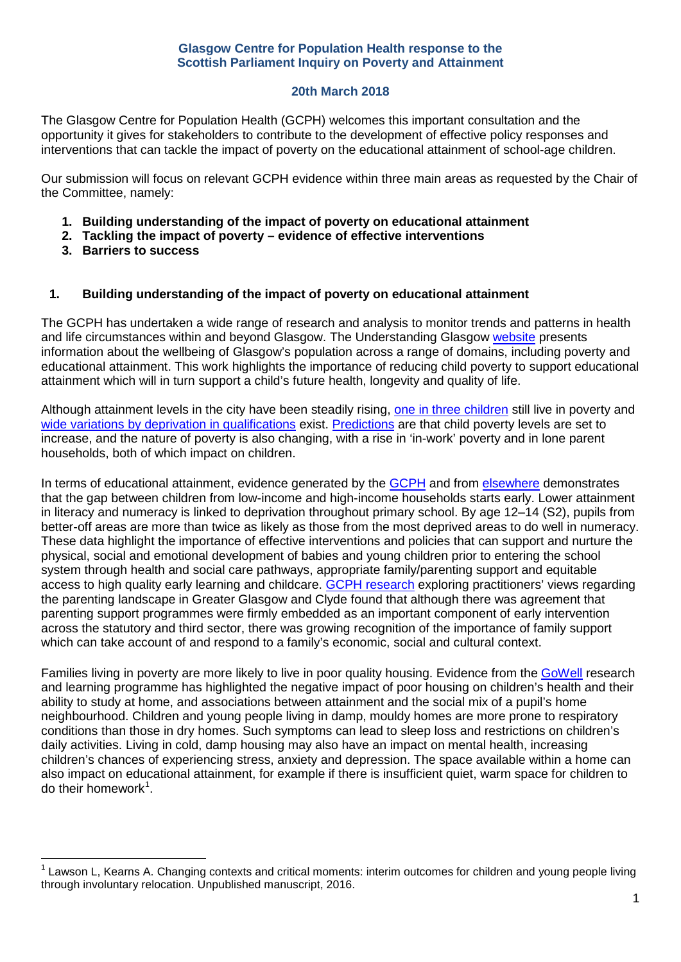## **20th March 2018**

The Glasgow Centre for Population Health (GCPH) welcomes this important consultation and the opportunity it gives for stakeholders to contribute to the development of effective policy responses and interventions that can tackle the impact of poverty on the educational attainment of school-age children.

Our submission will focus on relevant GCPH evidence within three main areas as requested by the Chair of the Committee, namely:

- **1. Building understanding of the impact of poverty on educational attainment**
- **2. Tackling the impact of poverty – evidence of effective interventions**
- **3. Barriers to success**

## **1. Building understanding of the impact of poverty on educational attainment**

The GCPH has undertaken a wide range of research and analysis to monitor trends and patterns in health and life circumstances within and beyond Glasgow. The Understanding Glasgow [website](http://www.understandingglasgow.com/news/1681_new_children_and_young_peoples_data_profiles) presents information about the wellbeing of Glasgow's population across a range of domains, including poverty and educational attainment. This work highlights the importance of reducing child poverty to support educational attainment which will in turn support a child's future health, longevity and quality of life.

Although attainment levels in the city have been steadily rising, [one in three children](http://www.understandingglasgow.com/indicators/children/poverty/overview) still live in poverty and wide variations by deprivation [in qualifications](http://www.gov.scot/Publications/2016/01/3359/2) exist. [Predictions](https://www.ifs.org.uk/publications/8957) are that child poverty levels are set to increase, and the nature of poverty is also changing, with a rise in 'in-work' poverty and in lone parent households, both of which impact on children.

In terms of educational attainment, evidence generated by the [GCPH](http://www.gcph.co.uk/publications/658_health_and_early_years_children_and_young_people_a_gcph_synthesis) and from [elsewhere](https://www.jrf.org.uk/report/closing-attainment-gap-scottish-education) demonstrates that the gap between children from low-income and high-income households starts early. Lower attainment in literacy and numeracy is linked to deprivation throughout primary school. By age 12–14 (S2), pupils from better-off areas are more than twice as likely as those from the most deprived areas to do well in numeracy. These data highlight the importance of effective interventions and policies that can support and nurture the physical, social and emotional development of babies and young children prior to entering the school system through health and social care pathways, appropriate family/parenting support and equitable access to high quality early learning and childcare. [GCPH research](http://www.gcph.co.uk/assets/0000/5964/Parenting_Scoping_Report_Glasgow.pdf) exploring practitioners' views regarding the parenting landscape in Greater Glasgow and Clyde found that although there was agreement that parenting support programmes were firmly embedded as an important component of early intervention across the statutory and third sector, there was growing recognition of the importance of family support which can take account of and respond to a family's economic, social and cultural context.

Families living in poverty are more likely to live in poor quality housing. Evidence from the [GoWell](http://www.gowellonline.com/) research and learning programme has highlighted the negative impact of poor housing on children's health and their ability to study at home, and associations between attainment and the social mix of a pupil's home neighbourhood. Children and young people living in damp, mouldy homes are more prone to respiratory conditions than those in dry homes. Such symptoms can lead to sleep loss and restrictions on children's daily activities. Living in cold, damp housing may also have an impact on mental health, increasing children's chances of experiencing stress, anxiety and depression. The space available within a home can also impact on educational attainment, for example if there is insufficient quiet, warm space for children to do their homework<sup>[1](#page-0-0)</sup>.

<span id="page-0-0"></span>Lawson L, Kearns A. Changing contexts and critical moments: interim outcomes for children and young people living through involuntary relocation. Unpublished manuscript, 2016.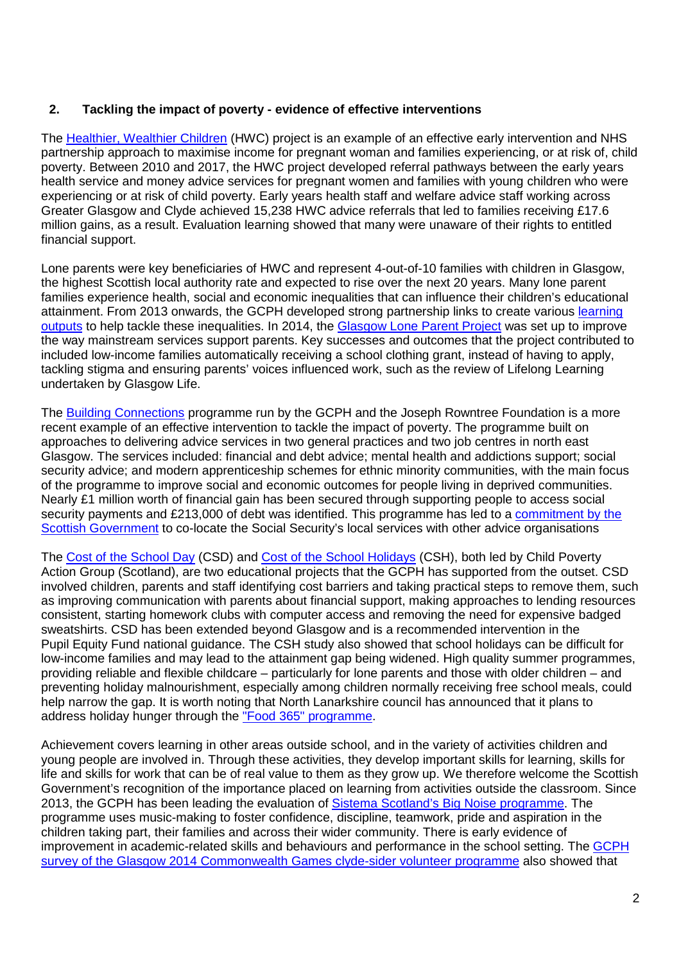## **2. Tackling the impact of poverty - evidence of effective interventions**

The [Healthier, Wealthier Children](http://www.gcph.co.uk/work_themes/theme_3_poverty_disadvantage_and_the_economy/action_on_poverty/healthier_wealthier_child) (HWC) project is an example of an effective early intervention and NHS partnership approach to maximise income for pregnant woman and families experiencing, or at risk of, child poverty. Between 2010 and 2017, the HWC project developed referral pathways between the early years health service and money advice services for pregnant women and families with young children who were experiencing or at risk of child poverty. Early years health staff and welfare advice staff working across Greater Glasgow and Clyde achieved 15,238 HWC advice referrals that led to families receiving £17.6 million gains, as a result. Evaluation learning showed that many were unaware of their rights to entitled financial support.

Lone parents were key beneficiaries of HWC and represent 4-out-of-10 families with children in Glasgow, the highest Scottish local authority rate and expected to rise over the next 20 years. Many lone parent families experience health, social and economic inequalities that can influence their children's educational attainment. From 2013 onwards, the GCPH developed strong partnership links to create various [learning](http://www.gcph.co.uk/work_themes/theme_3_poverty_disadvantage_and_the_economy/family_and_child_poverty/lone_parent_famili)  [outputs](http://www.gcph.co.uk/work_themes/theme_3_poverty_disadvantage_and_the_economy/family_and_child_poverty/lone_parent_famili) to help tackle these inequalities. In 2014, the [Glasgow Lone Parent Project](http://www.gcph.co.uk/publications/751_evaluation_of_the_glasgow_lone_parent_project_final_report) was set up to improve the way mainstream services support parents. Key successes and outcomes that the project contributed to included low-income families automatically receiving a school clothing grant, instead of having to apply, tackling stigma and ensuring parents' voices influenced work, such as the review of Lifelong Learning undertaken by Glasgow Life.

The [Building Connections](http://www.gcph.co.uk/publications/745_building_connections_co-locating_advice_services_in_gps_and_job_centres) programme run by the GCPH and the Joseph Rowntree Foundation is a more recent example of an effective intervention to tackle the impact of poverty. The programme built on approaches to delivering advice services in two general practices and two job centres in north east Glasgow. The services included: financial and debt advice; mental health and addictions support; social security advice; and modern apprenticeship schemes for ethnic minority communities, with the main focus of the programme to improve social and economic outcomes for people living in deprived communities. Nearly £1 million worth of financial gain has been secured through supporting people to access social security payments and £213,000 of debt was identified. This programme has led to a commitment by the [Scottish Government](http://www.parliament.scot/parliamentarybusiness/28877.aspx?SearchType=Advance&ReferenceNumbers=S5O-01818&ResultsPerPage=10) to co-locate the Social Security's local services with other advice organisations

The [Cost of the School Day](http://www.cpag.org.uk/cost-school-day) (CSD) and [Cost of the School Holidays](http://www.cpag.org.uk/sites/default/files/CPAG-Scot-Cost-School-Holidays-full%20report.pdf) (CSH), both led by Child Poverty Action Group (Scotland), are two educational projects that the GCPH has supported from the outset. CSD involved children, parents and staff identifying cost barriers and taking practical steps to remove them, such as improving communication with parents about financial support, making approaches to lending resources consistent, starting homework clubs with computer access and removing the need for expensive badged sweatshirts. CSD has been extended beyond Glasgow and is a recommended intervention in the Pupil Equity Fund national guidance. The CSH study also showed that school holidays can be difficult for low-income families and may lead to the attainment gap being widened. High quality summer programmes, providing reliable and flexible childcare – particularly for lone parents and those with older children – and preventing holiday malnourishment, especially among children normally receiving free school meals, could help narrow the gap. It is worth noting that North Lanarkshire council has announced that it plans to address holiday hunger through the ["Food 365" programme.](https://www.northlanarkshire.gov.uk/index.aspx?articleid=33542)

Achievement covers learning in other areas outside school, and in the variety of activities children and young people are involved in. Through these activities, they develop important skills for learning, skills for life and skills for work that can be of real value to them as they grow up. We therefore welcome the Scottish Government's recognition of the importance placed on learning from activities outside the classroom. Since 2013, the GCPH has been leading the evaluation of [Sistema Scotland's Big Noise programme.](http://www.gcph.co.uk/assets/0000/4326/Evaluating_Sistema_Scotland_FINAL.pdf) The programme uses music-making to foster confidence, discipline, teamwork, pride and aspiration in the children taking part, their families and across their wider community. There is early evidence of improvement in academic-related skills and behaviours and performance in the school setting. The [GCPH](http://www.gcph.co.uk/publications/718_clyde-sider_applicant_journeys_findings_from_a_two-year_follow-up_survey)  [survey of the Glasgow 2014 Commonwealth Games clyde-sider volunteer programme](http://www.gcph.co.uk/publications/718_clyde-sider_applicant_journeys_findings_from_a_two-year_follow-up_survey) also showed that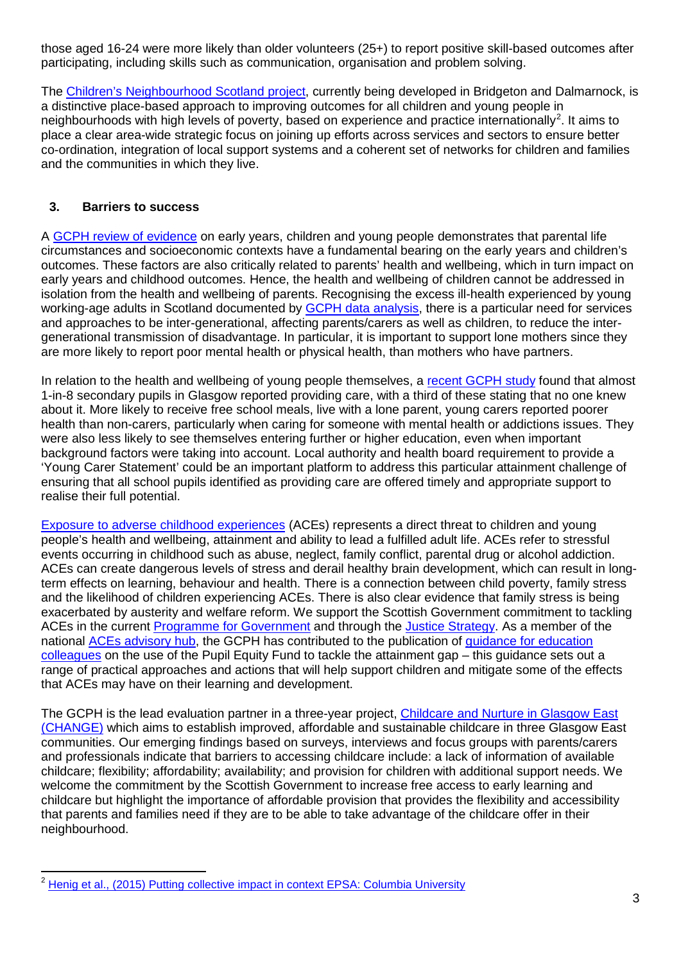those aged 16-24 were more likely than older volunteers (25+) to report positive skill-based outcomes after participating, including skills such as communication, organisation and problem solving.

The [Children's Neighbourhood Scotland project,](https://childrensneighbourhoodsscotland.com/) currently being developed in Bridgeton and Dalmarnock, is a distinctive place-based approach to improving outcomes for all children and young people in neighbourhoods with high levels of poverty, based on experience and practice internationally<sup>[2](#page-2-0)</sup>. It aims to place a clear area-wide strategic focus on joining up efforts across services and sectors to ensure better co-ordination, integration of local support systems and a coherent set of networks for children and families and the communities in which they live.

## **3. Barriers to success**

A [GCPH review of evidence](http://www.gcph.co.uk/assets/0000/5914/Health_and_Early_Years_web.pdf) on early years, children and young people demonstrates that parental life circumstances and socioeconomic contexts have a fundamental bearing on the early years and children's outcomes. These factors are also critically related to parents' health and wellbeing, which in turn impact on early years and childhood outcomes. Hence, the health and wellbeing of children cannot be addressed in isolation from the health and wellbeing of parents. Recognising the excess ill-health experienced by young working-age adults in Scotland documented by **GCPH** data analysis, there is a particular need for services and approaches to be inter-generational, affecting parents/carers as well as children, to reduce the intergenerational transmission of disadvantage. In particular, it is important to support lone mothers since they are more likely to report poor mental health or physical health, than mothers who have partners.

In relation to the health and wellbeing of young people themselves, a [recent GCPH study](http://www.gcph.co.uk/publications/721_young_carers_in_glasgow_health_wellbeing_and_future_expectations) found that almost 1-in-8 secondary pupils in Glasgow reported providing care, with a third of these stating that no one knew about it. More likely to receive free school meals, live with a lone parent, young carers reported poorer health than non-carers, particularly when caring for someone with mental health or addictions issues. They were also less likely to see themselves entering further or higher education, even when important background factors were taking into account. Local authority and health board requirement to provide a 'Young Carer Statement' could be an important platform to address this particular attainment challenge of ensuring that all school pupils identified as providing care are offered timely and appropriate support to realise their full potential.

[Exposure to adverse childhood experiences](http://www.gcph.co.uk/events/166) (ACEs) represents a direct threat to children and young people's health and wellbeing, attainment and ability to lead a fulfilled adult life. ACEs refer to stressful events occurring in childhood such as abuse, neglect, family conflict, parental drug or alcohol addiction. ACEs can create dangerous levels of stress and derail healthy brain development, which can result in longterm effects on learning, behaviour and health. There is a connection between child poverty, family stress and the likelihood of children experiencing ACEs. There is also clear evidence that family stress is being exacerbated by austerity and welfare reform. We support the Scottish Government commitment to tackling ACEs in the current [Programme for Government](http://www.gov.scot/Publications/2017/09/8468/9) and through the [Justice Strategy.](http://www.gov.scot/Resource/0052/00522274.pdf) As a member of the national ACEs [advisory hub,](http://www.healthscotland.scot/population-groups/children/adverse-childhood-experiences) the GCPH has contributed to the publication of [guidance for education](http://www.healthscotland.scot/media/1517/tackling-the-attainment-gap-by-preventing-and-responding-to-adverse-childhood-experiences.pdf)  [colleagues](http://www.healthscotland.scot/media/1517/tackling-the-attainment-gap-by-preventing-and-responding-to-adverse-childhood-experiences.pdf) on the use of the Pupil Equity Fund to tackle the attainment gap – this guidance sets out a range of practical approaches and actions that will help support children and mitigate some of the effects that ACEs may have on their learning and development.

The GCPH is the lead evaluation partner in a three-year project, [Childcare and Nurture in Glasgow East](http://change-childcare.org/)  [\(CHANGE\)](http://change-childcare.org/) which aims to establish improved, affordable and sustainable childcare in three Glasgow East communities. Our emerging findings based on surveys, interviews and focus groups with parents/carers and professionals indicate that barriers to accessing childcare include: a lack of information of available childcare; flexibility; affordability; availability; and provision for children with additional support needs. We welcome the commitment by the Scottish Government to increase free access to early learning and childcare but highlight the importance of affordable provision that provides the flexibility and accessibility that parents and families need if they are to be able to take advantage of the childcare offer in their neighbourhood.

<span id="page-2-0"></span><sup>2</sup> [Henig et al., \(2015\) Putting collective impact in context EPSA: Columbia University](http://www.wallacefoundation.org/knowledge-center/Documents/Putting-Collective-Impact-Into-Context.pdf)